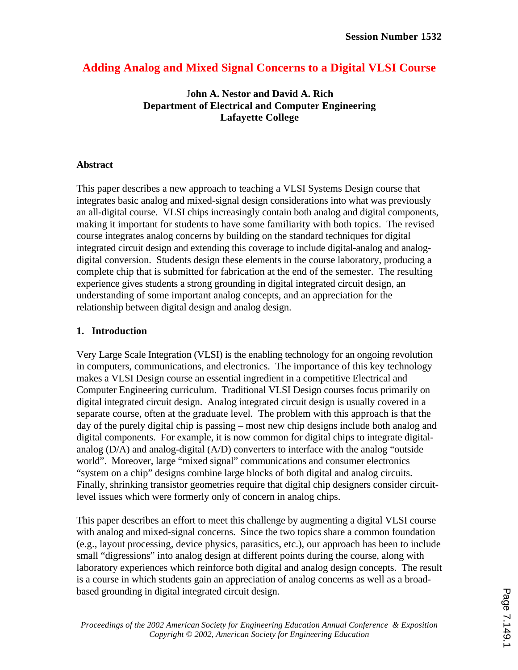# **Adding Analog and Mixed Signal Concerns to a Digital VLSI Course**

### J**ohn A. Nestor and David A. Rich Department of Electrical and Computer Engineering Lafayette College**

### **Abstract**

This paper describes a new approach to teaching a VLSI Systems Design course that integrates basic analog and mixed-signal design considerations into what was previously an all-digital course. VLSI chips increasingly contain both analog and digital components, making it important for students to have some familiarity with both topics. The revised course integrates analog concerns by building on the standard techniques for digital integrated circuit design and extending this coverage to include digital-analog and analogdigital conversion. Students design these elements in the course laboratory, producing a complete chip that is submitted for fabrication at the end of the semester. The resulting experience gives students a strong grounding in digital integrated circuit design, an understanding of some important analog concepts, and an appreciation for the relationship between digital design and analog design.

## **1. Introduction**

Very Large Scale Integration (VLSI) is the enabling technology for an ongoing revolution in computers, communications, and electronics. The importance of this key technology makes a VLSI Design course an essential ingredient in a competitive Electrical and Computer Engineering curriculum. Traditional VLSI Design courses focus primarily on digital integrated circuit design. Analog integrated circuit design is usually covered in a separate course, often at the graduate level. The problem with this approach is that the day of the purely digital chip is passing – most new chip designs include both analog and digital components. For example, it is now common for digital chips to integrate digitalanalog (D/A) and analog-digital (A/D) converters to interface with the analog "outside world". Moreover, large "mixed signal" communications and consumer electronics "system on a chip" designs combine large blocks of both digital and analog circuits. Finally, shrinking transistor geometries require that digital chip designers consider circuitlevel issues which were formerly only of concern in analog chips.

This paper describes an effort to meet this challenge by augmenting a digital VLSI course with analog and mixed-signal concerns. Since the two topics share a common foundation (e.g., layout processing, device physics, parasitics, etc.), our approach has been to include small "digressions" into analog design at different points during the course, along with laboratory experiences which reinforce both digital and analog design concepts. The result is a course in which students gain an appreciation of analog concerns as well as a broadbased grounding in digital integrated circuit design.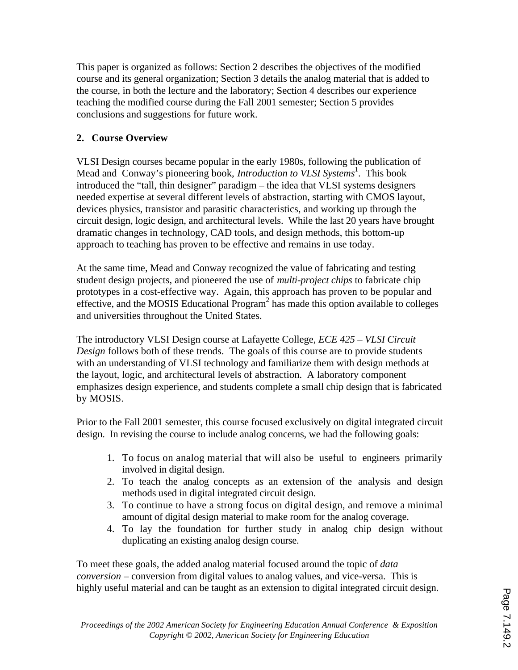This paper is organized as follows: Section 2 describes the objectives of the modified course and its general organization; Section 3 details the analog material that is added to the course, in both the lecture and the laboratory; Section 4 describes our experience teaching the modified course during the Fall 2001 semester; Section 5 provides conclusions and suggestions for future work.

# **2. Course Overview**

VLSI Design courses became popular in the early 1980s, following the publication of Mead and Conway's pioneering book, *Introduction to VLSI Systems*<sup>1</sup>. This book introduced the "tall, thin designer" paradigm – the idea that VLSI systems designers needed expertise at several different levels of abstraction, starting with CMOS layout, devices physics, transistor and parasitic characteristics, and working up through the circuit design, logic design, and architectural levels. While the last 20 years have brought dramatic changes in technology, CAD tools, and design methods, this bottom-up approach to teaching has proven to be effective and remains in use today.

At the same time, Mead and Conway recognized the value of fabricating and testing student design projects, and pioneered the use of *multi-project chips* to fabricate chip prototypes in a cost-effective way. Again, this approach has proven to be popular and effective, and the MOSIS Educational  $Program<sup>2</sup>$  has made this option available to colleges and universities throughout the United States.

The introductory VLSI Design course at Lafayette College, *ECE 425 – VLSI Circuit Design* follows both of these trends. The goals of this course are to provide students with an understanding of VLSI technology and familiarize them with design methods at the layout, logic, and architectural levels of abstraction. A laboratory component emphasizes design experience, and students complete a small chip design that is fabricated by MOSIS.

Prior to the Fall 2001 semester, this course focused exclusively on digital integrated circuit design. In revising the course to include analog concerns, we had the following goals:

- 1. To focus on analog material that will also be useful to engineers primarily involved in digital design.
- 2. To teach the analog concepts as an extension of the analysis and design methods used in digital integrated circuit design.
- 3. To continue to have a strong focus on digital design, and remove a minimal amount of digital design material to make room for the analog coverage.
- 4. To lay the foundation for further study in analog chip design without duplicating an existing analog design course.

To meet these goals, the added analog material focused around the topic of *data conversion* – conversion from digital values to analog values, and vice-versa. This is highly useful material and can be taught as an extension to digital integrated circuit design.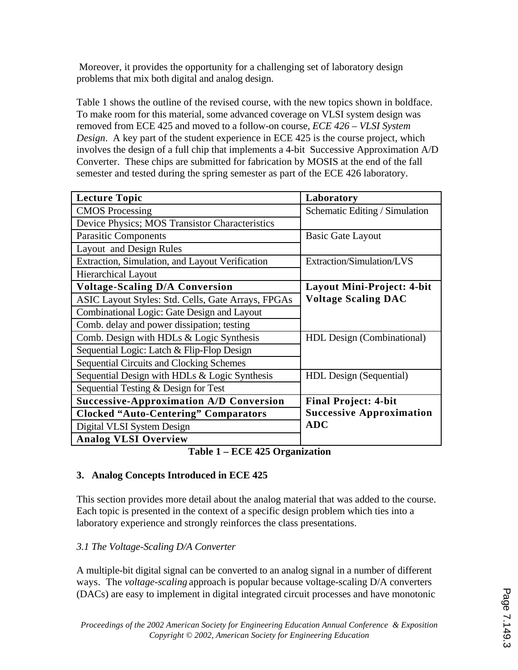Moreover, it provides the opportunity for a challenging set of laboratory design problems that mix both digital and analog design.

Table 1 shows the outline of the revised course, with the new topics shown in boldface. To make room for this material, some advanced coverage on VLSI system design was removed from ECE 425 and moved to a follow-on course, *ECE 426 – VLSI System Design*. A key part of the student experience in ECE 425 is the course project, which involves the design of a full chip that implements a 4-bit Successive Approximation A/D Converter. These chips are submitted for fabrication by MOSIS at the end of the fall semester and tested during the spring semester as part of the ECE 426 laboratory.

| <b>Lecture Topic</b>                               | Laboratory                      |
|----------------------------------------------------|---------------------------------|
| <b>CMOS</b> Processing                             | Schematic Editing / Simulation  |
| Device Physics; MOS Transistor Characteristics     |                                 |
| <b>Parasitic Components</b>                        | <b>Basic Gate Layout</b>        |
| Layout and Design Rules                            |                                 |
| Extraction, Simulation, and Layout Verification    | Extraction/Simulation/LVS       |
| <b>Hierarchical Layout</b>                         |                                 |
| <b>Voltage-Scaling D/A Conversion</b>              | Layout Mini-Project: 4-bit      |
| ASIC Layout Styles: Std. Cells, Gate Arrays, FPGAs | <b>Voltage Scaling DAC</b>      |
| Combinational Logic: Gate Design and Layout        |                                 |
| Comb. delay and power dissipation; testing         |                                 |
| Comb. Design with HDLs & Logic Synthesis           | HDL Design (Combinational)      |
| Sequential Logic: Latch & Flip-Flop Design         |                                 |
| <b>Sequential Circuits and Clocking Schemes</b>    |                                 |
| Sequential Design with HDLs & Logic Synthesis      | HDL Design (Sequential)         |
| Sequential Testing & Design for Test               |                                 |
| <b>Successive-Approximation A/D Conversion</b>     | <b>Final Project: 4-bit</b>     |
| <b>Clocked "Auto-Centering" Comparators</b>        | <b>Successive Approximation</b> |
| Digital VLSI System Design                         | <b>ADC</b>                      |
| <b>Analog VLSI Overview</b>                        |                                 |

**Table 1 – ECE 425 Organization**

### **3. Analog Concepts Introduced in ECE 425**

This section provides more detail about the analog material that was added to the course. Each topic is presented in the context of a specific design problem which ties into a laboratory experience and strongly reinforces the class presentations.

### *3.1 The Voltage-Scaling D/A Converter*

A multiple-bit digital signal can be converted to an analog signal in a number of different ways. The *voltage-scaling* approach is popular because voltage-scaling D/A converters (DACs) are easy to implement in digital integrated circuit processes and have monotonic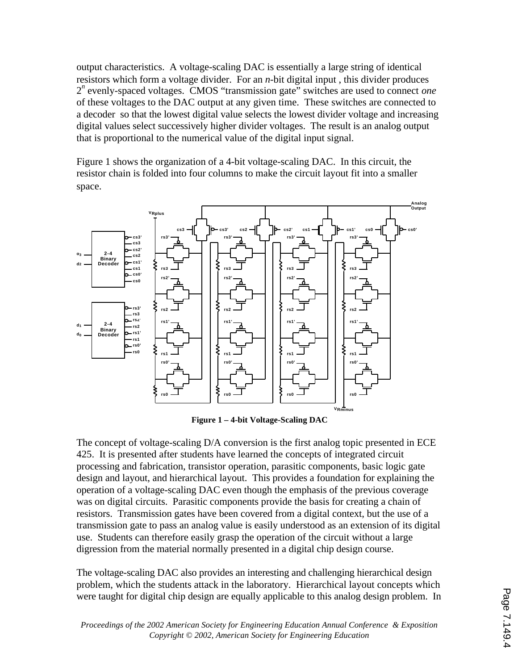output characteristics. A voltage-scaling DAC is essentially a large string of identical resistors which form a voltage divider. For an *n-*bit digital input , this divider produces 2 *n* evenly-spaced voltages. CMOS "transmission gate" switches are used to connect *one* of these voltages to the DAC output at any given time. These switches are connected to a decoder so that the lowest digital value selects the lowest divider voltage and increasing digital values select successively higher divider voltages. The result is an analog output that is proportional to the numerical value of the digital input signal.

Figure 1 shows the organization of a 4-bit voltage-scaling DAC. In this circuit, the resistor chain is folded into four columns to make the circuit layout fit into a smaller space.



**Figure 1 – 4-bit Voltage-Scaling DAC**

The concept of voltage-scaling D/A conversion is the first analog topic presented in ECE 425. It is presented after students have learned the concepts of integrated circuit processing and fabrication, transistor operation, parasitic components, basic logic gate design and layout, and hierarchical layout. This provides a foundation for explaining the operation of a voltage-scaling DAC even though the emphasis of the previous coverage was on digital circuits. Parasitic components provide the basis for creating a chain of resistors. Transmission gates have been covered from a digital context, but the use of a transmission gate to pass an analog value is easily understood as an extension of its digital use. Students can therefore easily grasp the operation of the circuit without a large digression from the material normally presented in a digital chip design course.

The voltage-scaling DAC also provides an interesting and challenging hierarchical design problem, which the students attack in the laboratory. Hierarchical layout concepts which were taught for digital chip design are equally applicable to this analog design problem. In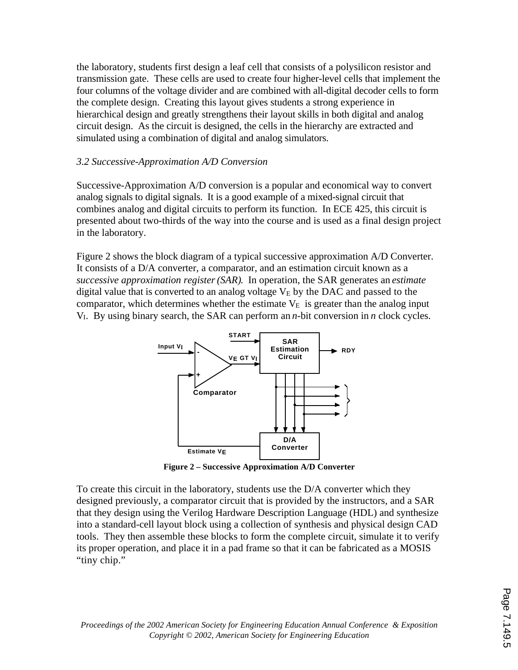the laboratory, students first design a leaf cell that consists of a polysilicon resistor and transmission gate. These cells are used to create four higher-level cells that implement the four columns of the voltage divider and are combined with all-digital decoder cells to form the complete design. Creating this layout gives students a strong experience in hierarchical design and greatly strengthens their layout skills in both digital and analog circuit design. As the circuit is designed, the cells in the hierarchy are extracted and simulated using a combination of digital and analog simulators.

### *3.2 Successive-Approximation A/D Conversion*

Successive-Approximation A/D conversion is a popular and economical way to convert analog signals to digital signals. It is a good example of a mixed-signal circuit that combines analog and digital circuits to perform its function. In ECE 425, this circuit is presented about two-thirds of the way into the course and is used as a final design project in the laboratory.

Figure 2 shows the block diagram of a typical successive approximation A/D Converter. It consists of a D/A converter, a comparator, and an estimation circuit known as a *successive approximation register(SAR)*. In operation, the SAR generates an *estimate* digital value that is converted to an analog voltage  $V<sub>E</sub>$  by the DAC and passed to the comparator, which determines whether the estimate  $V_E$  is greater than the analog input VI. By using binary search, the SAR can perform an *n*-bit conversion in *n* clock cycles.



**Figure 2 – Successive Approximation A/D Converter**

To create this circuit in the laboratory, students use the D/A converter which they designed previously, a comparator circuit that is provided by the instructors, and a SAR that they design using the Verilog Hardware Description Language (HDL) and synthesize into a standard-cell layout block using a collection of synthesis and physical design CAD tools. They then assemble these blocks to form the complete circuit, simulate it to verify its proper operation, and place it in a pad frame so that it can be fabricated as a MOSIS "tiny chip."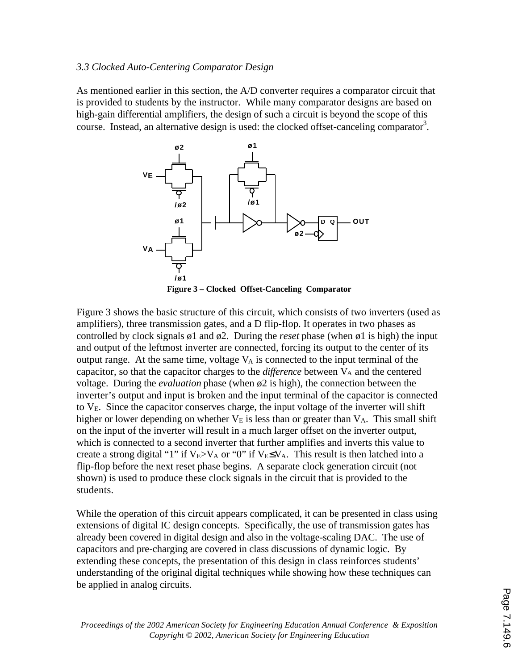#### *3.3 Clocked Auto-Centering Comparator Design*

As mentioned earlier in this section, the A/D converter requires a comparator circuit that is provided to students by the instructor. While many comparator designs are based on high-gain differential amplifiers, the design of such a circuit is beyond the scope of this course. Instead, an alternative design is used: the clocked offset-canceling comparator<sup>3</sup>.



**Figure 3 – Clocked Offset-Canceling Comparator**

Figure 3 shows the basic structure of this circuit, which consists of two inverters (used as amplifiers), three transmission gates, and a D flip-flop. It operates in two phases as controlled by clock signals ø1 and ø2. During the *reset* phase (when ø1 is high) the input and output of the leftmost inverter are connected, forcing its output to the center of its output range. At the same time, voltage  $V_A$  is connected to the input terminal of the capacitor, so that the capacitor charges to the *difference* between V<sub>A</sub> and the centered voltage. During the *evaluation* phase (when ø2 is high), the connection between the inverter's output and input is broken and the input terminal of the capacitor is connected to  $V<sub>E</sub>$ . Since the capacitor conserves charge, the input voltage of the inverter will shift higher or lower depending on whether  $V_E$  is less than or greater than  $V_A$ . This small shift on the input of the inverter will result in a much larger offset on the inverter output, which is connected to a second inverter that further amplifies and inverts this value to create a strong digital "1" if  $V_E>V_A$  or "0" if  $V_E$  V<sub>A</sub>. This result is then latched into a flip-flop before the next reset phase begins. A separate clock generation circuit (not shown) is used to produce these clock signals in the circuit that is provided to the students.

While the operation of this circuit appears complicated, it can be presented in class using extensions of digital IC design concepts. Specifically, the use of transmission gates has already been covered in digital design and also in the voltage-scaling DAC. The use of capacitors and pre-charging are covered in class discussions of dynamic logic. By extending these concepts, the presentation of this design in class reinforces students' understanding of the original digital techniques while showing how these techniques can be applied in analog circuits.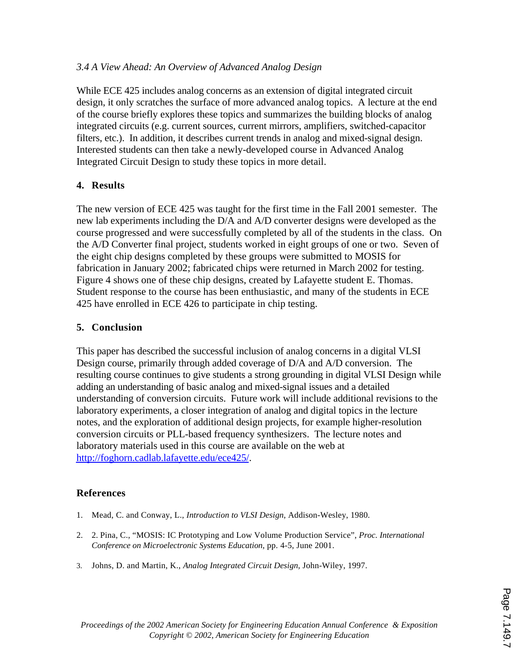### *3.4 A View Ahead: An Overview of Advanced Analog Design*

While ECE 425 includes analog concerns as an extension of digital integrated circuit design, it only scratches the surface of more advanced analog topics. A lecture at the end of the course briefly explores these topics and summarizes the building blocks of analog integrated circuits (e.g. current sources, current mirrors, amplifiers, switched-capacitor filters, etc.). In addition, it describes current trends in analog and mixed-signal design. Interested students can then take a newly-developed course in Advanced Analog Integrated Circuit Design to study these topics in more detail.

### **4. Results**

The new version of ECE 425 was taught for the first time in the Fall 2001 semester. The new lab experiments including the D/A and A/D converter designs were developed as the course progressed and were successfully completed by all of the students in the class. On the A/D Converter final project, students worked in eight groups of one or two. Seven of the eight chip designs completed by these groups were submitted to MOSIS for fabrication in January 2002; fabricated chips were returned in March 2002 for testing. Figure 4 shows one of these chip designs, created by Lafayette student E. Thomas. Student response to the course has been enthusiastic, and many of the students in ECE 425 have enrolled in ECE 426 to participate in chip testing.

### **5. Conclusion**

This paper has described the successful inclusion of analog concerns in a digital VLSI Design course, primarily through added coverage of D/A and A/D conversion. The resulting course continues to give students a strong grounding in digital VLSI Design while adding an understanding of basic analog and mixed-signal issues and a detailed understanding of conversion circuits. Future work will include additional revisions to the laboratory experiments, a closer integration of analog and digital topics in the lecture notes, and the exploration of additional design projects, for example higher-resolution conversion circuits or PLL-based frequency synthesizers. The lecture notes and laboratory materials used in this course are available on the web at http://foghorn.cadlab.lafayette.edu/ece425/.

### **References**

- 1. Mead, C. and Conway, L., *Introduction to VLSI Design*, Addison-Wesley, 1980.
- 2. 2. Pina, C., "MOSIS: IC Prototyping and Low Volume Production Service", *Proc. International Conference on Microelectronic Systems Education*, pp. 4-5, June 2001.
- 3. Johns, D. and Martin, K., *Analog Integrated Circuit Design*, John-Wiley, 1997.